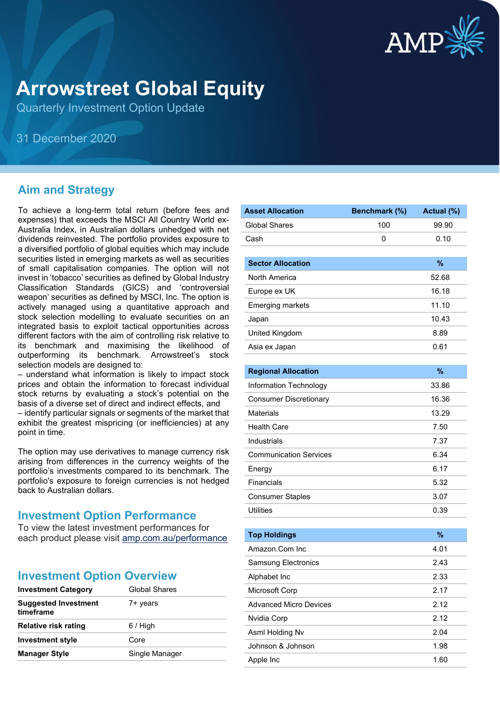

# **Arrowstreet Global Equity**

Quarterly Investment Option Update

31 December 2020

## **Aim and Strategy**

To achieve a long-term total return (before fees and expenses) that exceeds the MSCI All Country World ex-Australia Index, in Australian dollars unhedged with net dividends reinvested. The portfolio provides exposure to a diversified portfolio of global equities which may include securities listed in emerging markets as well as securities of small capitalisation companies. The option will not invest in 'tobacco' securities as defined by Global Industry Classification Standards (GICS) and 'controversial weapon' securities as defined by MSCI, Inc. The option is actively managed using a quantitative approach and stock selection modelling to evaluate securities on an integrated basis to exploit tactical opportunities across different factors with the aim of controlling risk relative to its benchmark and maximising the likelihood of outperforming its benchmark. Arrowstreet's stock selection models are designed to:

– understand what information is likely to impact stock prices and obtain the information to forecast individual stock returns by evaluating a stock's potential on the basis of a diverse set of direct and indirect effects, and

– identify particular signals or segments of the market that exhibit the greatest mispricing (or inefficiencies) at any point in time.

The option may use derivatives to manage currency risk arising from differences in the currency weights of the portfolio's investments compared to its benchmark. The portfolio's exposure to foreign currencies is not hedged back to Australian dollars.

#### **Investment Option Performance**

To view the latest investment performances for each product please visit [amp.com.au/performance](https://www.amp.com.au/performance)

| <b>Investment Category</b>               | <b>Global Shares</b> |  |
|------------------------------------------|----------------------|--|
| <b>Suggested Investment</b><br>timeframe | 7+ years             |  |
| Relative risk rating                     | $6/$ High            |  |
| <b>Investment style</b>                  | Core                 |  |
| <b>Manager Style</b>                     | Single Manager       |  |
|                                          |                      |  |

| <b>Asset Allocation</b>       | Benchmark (%) | Actual (%) |
|-------------------------------|---------------|------------|
| <b>Global Shares</b>          | 100           | 99.90      |
| Cash                          | 0             | 0.10       |
|                               |               |            |
| <b>Sector Allocation</b>      |               | %          |
| North America                 |               | 52.68      |
| Europe ex UK                  |               | 16.18      |
| <b>Emerging markets</b>       |               | 11.10      |
| Japan                         |               | 10.43      |
| United Kingdom                |               | 8.89       |
| Asia ex Japan                 |               | 0.61       |
|                               |               |            |
| <b>Regional Allocation</b>    |               | %          |
| Information Technology        |               | 33.86      |
| <b>Consumer Discretionary</b> |               | 16.36      |
| <b>Materials</b>              |               | 13.29      |
| <b>Health Care</b>            |               | 7.50       |
| Industrials                   |               | 7.37       |
| <b>Communication Services</b> |               | 6.34       |
| Energy                        |               | 6.17       |
| Financials                    |               | 5.32       |
| <b>Consumer Staples</b>       |               | 3.07       |
| <b>Utilities</b>              |               | 0.39       |
|                               |               |            |
| <b>Top Holdings</b>           |               | %          |
| Amazon.Com Inc                |               | 4.01       |
| <b>Samsung Electronics</b>    |               | 2.43       |
| Alphabet Inc                  |               | 2.33       |
| Microsoft Corp                |               | 2.17       |
| <b>Advanced Micro Devices</b> |               | 2.12       |

Nvidia Corp 2.12 Asml Holding Nv 2.04 Johnson & Johnson 1.98 Apple Inc 1.60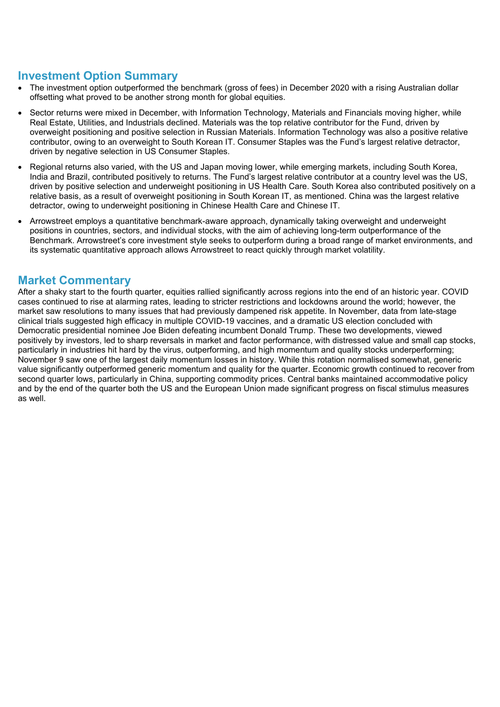#### **Investment Option Summary**

- The investment option outperformed the benchmark (gross of fees) in December 2020 with a rising Australian dollar offsetting what proved to be another strong month for global equities.
- Sector returns were mixed in December, with Information Technology, Materials and Financials moving higher, while Real Estate, Utilities, and Industrials declined. Materials was the top relative contributor for the Fund, driven by overweight positioning and positive selection in Russian Materials. Information Technology was also a positive relative contributor, owing to an overweight to South Korean IT. Consumer Staples was the Fund's largest relative detractor, driven by negative selection in US Consumer Staples.
- Regional returns also varied, with the US and Japan moving lower, while emerging markets, including South Korea, India and Brazil, contributed positively to returns. The Fund's largest relative contributor at a country level was the US, driven by positive selection and underweight positioning in US Health Care. South Korea also contributed positively on a relative basis, as a result of overweight positioning in South Korean IT, as mentioned. China was the largest relative detractor, owing to underweight positioning in Chinese Health Care and Chinese IT.
- Arrowstreet employs a quantitative benchmark-aware approach, dynamically taking overweight and underweight positions in countries, sectors, and individual stocks, with the aim of achieving long-term outperformance of the Benchmark. Arrowstreet's core investment style seeks to outperform during a broad range of market environments, and its systematic quantitative approach allows Arrowstreet to react quickly through market volatility.

#### **Market Commentary**

After a shaky start to the fourth quarter, equities rallied significantly across regions into the end of an historic year. COVID cases continued to rise at alarming rates, leading to stricter restrictions and lockdowns around the world; however, the market saw resolutions to many issues that had previously dampened risk appetite. In November, data from late-stage clinical trials suggested high efficacy in multiple COVID-19 vaccines, and a dramatic US election concluded with Democratic presidential nominee Joe Biden defeating incumbent Donald Trump. These two developments, viewed positively by investors, led to sharp reversals in market and factor performance, with distressed value and small cap stocks, particularly in industries hit hard by the virus, outperforming, and high momentum and quality stocks underperforming; November 9 saw one of the largest daily momentum losses in history. While this rotation normalised somewhat, generic value significantly outperformed generic momentum and quality for the quarter. Economic growth continued to recover from second quarter lows, particularly in China, supporting commodity prices. Central banks maintained accommodative policy and by the end of the quarter both the US and the European Union made significant progress on fiscal stimulus measures as well.